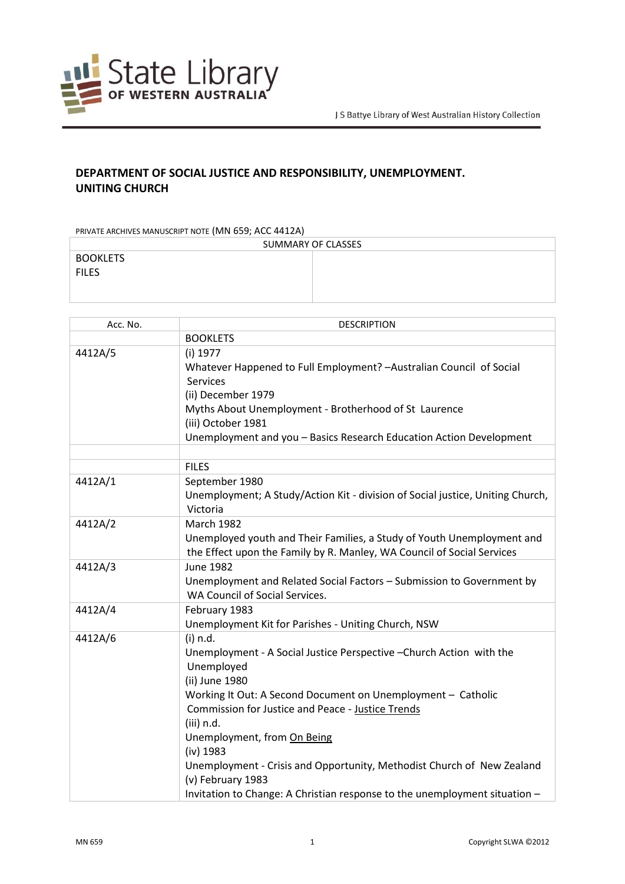

## **DEPARTMENT OF SOCIAL JUSTICE AND RESPONSIBILITY, UNEMPLOYMENT. UNITING CHURCH**

PRIVATE ARCHIVES MANUSCRIPT NOTE (MN 659; ACC 4412A)

| SUMMARY OF CLASSES              |  |  |
|---------------------------------|--|--|
| <b>BOOKLETS</b><br><b>FILES</b> |  |  |
|                                 |  |  |

| Acc. No. | <b>DESCRIPTION</b>                                                                                                                                                                                                                                                                                                                                                                                                                                                                  |
|----------|-------------------------------------------------------------------------------------------------------------------------------------------------------------------------------------------------------------------------------------------------------------------------------------------------------------------------------------------------------------------------------------------------------------------------------------------------------------------------------------|
|          | <b>BOOKLETS</b>                                                                                                                                                                                                                                                                                                                                                                                                                                                                     |
| 4412A/5  | (i) 1977<br>Whatever Happened to Full Employment? - Australian Council of Social<br>Services<br>(ii) December 1979                                                                                                                                                                                                                                                                                                                                                                  |
|          | Myths About Unemployment - Brotherhood of St Laurence<br>(iii) October 1981                                                                                                                                                                                                                                                                                                                                                                                                         |
|          | Unemployment and you - Basics Research Education Action Development                                                                                                                                                                                                                                                                                                                                                                                                                 |
|          |                                                                                                                                                                                                                                                                                                                                                                                                                                                                                     |
|          | <b>FILES</b>                                                                                                                                                                                                                                                                                                                                                                                                                                                                        |
| 4412A/1  | September 1980<br>Unemployment; A Study/Action Kit - division of Social justice, Uniting Church,<br>Victoria                                                                                                                                                                                                                                                                                                                                                                        |
| 4412A/2  | <b>March 1982</b><br>Unemployed youth and Their Families, a Study of Youth Unemployment and<br>the Effect upon the Family by R. Manley, WA Council of Social Services                                                                                                                                                                                                                                                                                                               |
| 4412A/3  | <b>June 1982</b><br>Unemployment and Related Social Factors - Submission to Government by<br>WA Council of Social Services.                                                                                                                                                                                                                                                                                                                                                         |
| 4412A/4  | February 1983<br>Unemployment Kit for Parishes - Uniting Church, NSW                                                                                                                                                                                                                                                                                                                                                                                                                |
| 4412A/6  | (i) n.d.<br>Unemployment - A Social Justice Perspective - Church Action with the<br>Unemployed<br>(ii) June 1980<br>Working It Out: A Second Document on Unemployment - Catholic<br><b>Commission for Justice and Peace - Justice Trends</b><br>(iii) n.d.<br>Unemployment, from On Being<br>(iv) 1983<br>Unemployment - Crisis and Opportunity, Methodist Church of New Zealand<br>(v) February 1983<br>Invitation to Change: A Christian response to the unemployment situation - |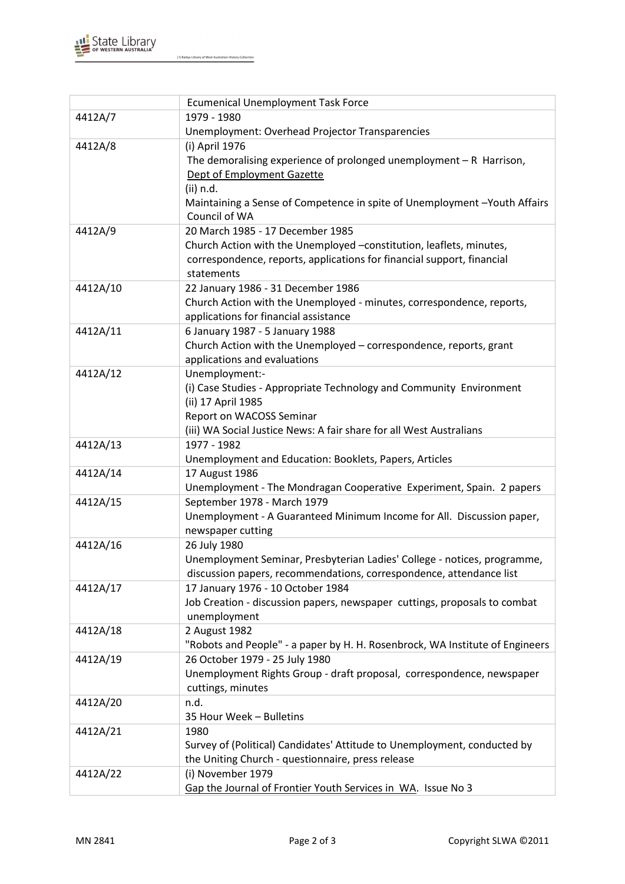

J S Battye Library of West Australian History Collection

|          | <b>Ecumenical Unemployment Task Force</b>                                                            |
|----------|------------------------------------------------------------------------------------------------------|
| 4412A/7  | 1979 - 1980                                                                                          |
|          | Unemployment: Overhead Projector Transparencies                                                      |
| 4412A/8  | (i) April 1976                                                                                       |
|          | The demoralising experience of prolonged unemployment $-R$ Harrison,                                 |
|          | Dept of Employment Gazette                                                                           |
|          | (ii) n.d.                                                                                            |
|          | Maintaining a Sense of Competence in spite of Unemployment-Youth Affairs                             |
|          | Council of WA                                                                                        |
| 4412A/9  | 20 March 1985 - 17 December 1985                                                                     |
|          | Church Action with the Unemployed -constitution, leaflets, minutes,                                  |
|          | correspondence, reports, applications for financial support, financial                               |
|          | statements                                                                                           |
| 4412A/10 | 22 January 1986 - 31 December 1986                                                                   |
|          | Church Action with the Unemployed - minutes, correspondence, reports,                                |
|          | applications for financial assistance                                                                |
| 4412A/11 | 6 January 1987 - 5 January 1988                                                                      |
|          | Church Action with the Unemployed - correspondence, reports, grant                                   |
|          | applications and evaluations                                                                         |
| 4412A/12 | Unemployment:-                                                                                       |
|          | (i) Case Studies - Appropriate Technology and Community Environment                                  |
|          | (ii) 17 April 1985                                                                                   |
|          | Report on WACOSS Seminar                                                                             |
|          | (iii) WA Social Justice News: A fair share for all West Australians                                  |
| 4412A/13 | 1977 - 1982                                                                                          |
|          | Unemployment and Education: Booklets, Papers, Articles                                               |
| 4412A/14 | 17 August 1986                                                                                       |
| 4412A/15 | Unemployment - The Mondragan Cooperative Experiment, Spain. 2 papers                                 |
|          | September 1978 - March 1979<br>Unemployment - A Guaranteed Minimum Income for All. Discussion paper, |
|          | newspaper cutting                                                                                    |
| 4412A/16 | 26 July 1980                                                                                         |
|          | Unemployment Seminar, Presbyterian Ladies' College - notices, programme,                             |
|          | discussion papers, recommendations, correspondence, attendance list                                  |
| 4412A/17 | 17 January 1976 - 10 October 1984                                                                    |
|          | Job Creation - discussion papers, newspaper cuttings, proposals to combat                            |
|          | unemployment                                                                                         |
| 4412A/18 | 2 August 1982                                                                                        |
|          | "Robots and People" - a paper by H. H. Rosenbrock, WA Institute of Engineers                         |
| 4412A/19 | 26 October 1979 - 25 July 1980                                                                       |
|          | Unemployment Rights Group - draft proposal, correspondence, newspaper                                |
|          | cuttings, minutes                                                                                    |
| 4412A/20 | n.d.                                                                                                 |
|          | 35 Hour Week - Bulletins                                                                             |
| 4412A/21 | 1980                                                                                                 |
|          | Survey of (Political) Candidates' Attitude to Unemployment, conducted by                             |
|          | the Uniting Church - questionnaire, press release                                                    |
| 4412A/22 | (i) November 1979                                                                                    |
|          | Gap the Journal of Frontier Youth Services in WA. Issue No 3                                         |